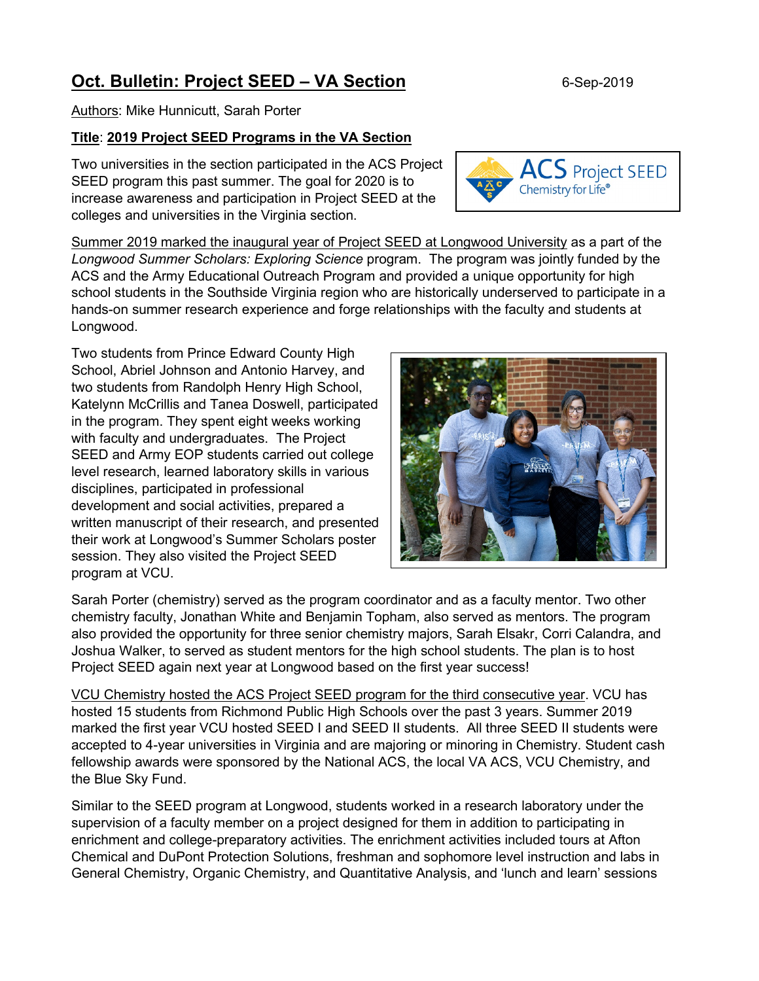## **Oct. Bulletin: Project SEED – VA Section** 6-Sep-2019

Authors: Mike Hunnicutt, Sarah Porter

## **Title**: **2019 Project SEED Programs in the VA Section**

Two universities in the section participated in the ACS Project SEED program this past summer. The goal for 2020 is to increase awareness and participation in Project SEED at the colleges and universities in the Virginia section.

Summer 2019 marked the inaugural year of Project SEED at Longwood University as a part of the *Longwood Summer Scholars: Exploring Science* program. The program was jointly funded by the ACS and the Army Educational Outreach Program and provided a unique opportunity for high school students in the Southside Virginia region who are historically underserved to participate in a hands-on summer research experience and forge relationships with the faculty and students at Longwood.

Two students from Prince Edward County High School, Abriel Johnson and Antonio Harvey, and two students from Randolph Henry High School, Katelynn McCrillis and Tanea Doswell, participated in the program. They spent eight weeks working with faculty and undergraduates. The Project SEED and Army EOP students carried out college level research, learned laboratory skills in various disciplines, participated in professional development and social activities, prepared a written manuscript of their research, and presented their work at Longwood's Summer Scholars poster session. They also visited the Project SEED program at VCU.

Sarah Porter (chemistry) served as the program coordinator and as a faculty mentor. Two other chemistry faculty, Jonathan White and Benjamin Topham, also served as mentors. The program also provided the opportunity for three senior chemistry majors, Sarah Elsakr, Corri Calandra, and Joshua Walker, to served as student mentors for the high school students. The plan is to host Project SEED again next year at Longwood based on the first year success!

VCU Chemistry hosted the ACS Project SEED program for the third consecutive year. VCU has hosted 15 students from Richmond Public High Schools over the past 3 years. Summer 2019 marked the first year VCU hosted SEED I and SEED II students. All three SEED II students were accepted to 4-year universities in Virginia and are majoring or minoring in Chemistry. Student cash fellowship awards were sponsored by the National ACS, the local VA ACS, VCU Chemistry, and the Blue Sky Fund.

Similar to the SEED program at Longwood, students worked in a research laboratory under the supervision of a faculty member on a project designed for them in addition to participating in enrichment and college-preparatory activities. The enrichment activities included tours at Afton Chemical and DuPont Protection Solutions, freshman and sophomore level instruction and labs in General Chemistry, Organic Chemistry, and Quantitative Analysis, and 'lunch and learn' sessions